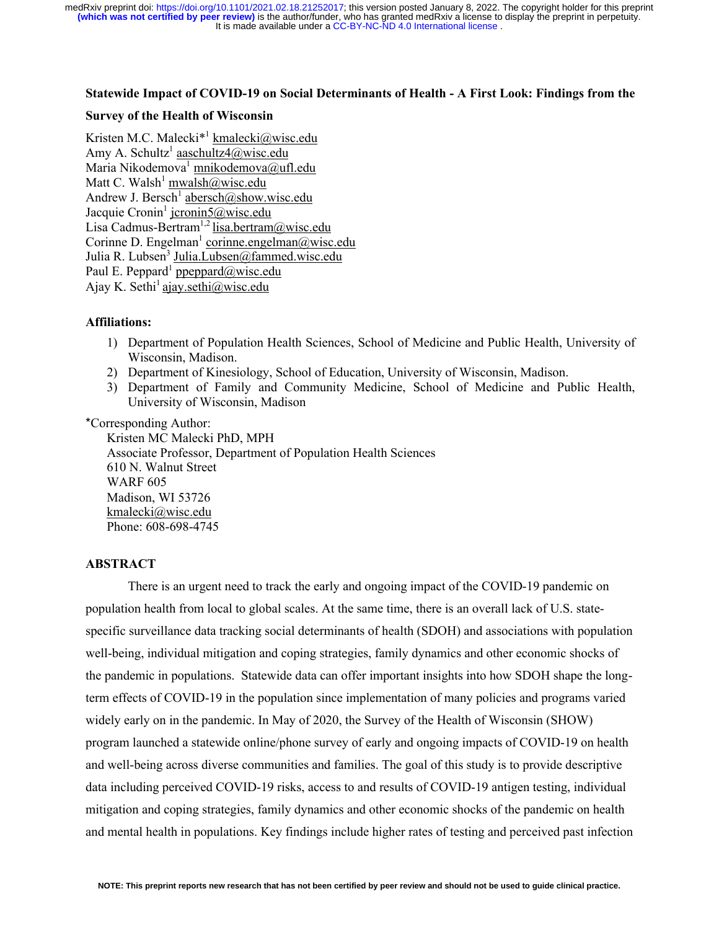It is made available under a [CC-BY-NC-ND 4.0 International license](http://creativecommons.org/licenses/by-nc-nd/4.0/) . **(which was not certified by peer review)** is the author/funder, who has granted medRxiv a license to display the preprint in perpetuity. medRxiv preprint doi: [https://doi.org/10.1101/2021.02.18.21252017;](https://doi.org/10.1101/2021.02.18.21252017) this version posted January 8, 2022. The copyright holder for this preprint

## **Statewide Impact of COVID-19 on Social Determinants of Health - A First Look: Findings from the**

### **Survey of the Health of Wisconsin**

Kristen M.C. Malecki<sup>\*1</sup> kmalecki@wisc.edu Amy A. Schultz<sup>1</sup> aaschultz4@wisc.edu Maria Nikodemova<sup>1</sup> mnikodemova@ufl.edu Matt C. Walsh<sup>1</sup> mwalsh $@$ wisc.edu Andrew J. Bersch<sup>1</sup> abersch@show.wisc.edu Jacquie Cronin<sup>1</sup> jcronin5@wisc.edu Lisa Cadmus-Bertram<sup>1,2</sup> lisa.bertram@wisc.edu Corinne D. Engelman<sup>1</sup> corinne.engelman@wisc.edu Julia R. Lubsen<sup>3</sup> Julia.Lubsen@fammed.wisc.edu Paul E. Peppard<sup>1</sup> ppeppard $@$ wisc.edu Ajay K. Sethi<sup>1</sup> ajay.sethi@wisc.edu

## **Affiliations:**

- 1) Department of Population Health Sciences, School of Medicine and Public Health, University of Wisconsin, Madison.
- 2) Department of Kinesiology, School of Education, University of Wisconsin, Madison.
- 3) Department of Family and Community Medicine, School of Medicine and Public Health, University of Wisconsin, Madison

\*Corresponding Author:

Kristen MC Malecki PhD, MPH Associate Professor, Department of Population Health Sciences 610 N. Walnut Street WARF 605 Madison, WI 53726 kmalecki@wisc.edu Phone: 608-698-4745

# **ABSTRACT**

There is an urgent need to track the early and ongoing impact of the COVID-19 pandemic on population health from local to global scales. At the same time, there is an overall lack of U.S. statespecific surveillance data tracking social determinants of health (SDOH) and associations with population well-being, individual mitigation and coping strategies, family dynamics and other economic shocks of the pandemic in populations. Statewide data can offer important insights into how SDOH shape the longterm effects of COVID-19 in the population since implementation of many policies and programs varied widely early on in the pandemic. In May of 2020, the Survey of the Health of Wisconsin (SHOW) program launched a statewide online/phone survey of early and ongoing impacts of COVID-19 on health and well-being across diverse communities and families. The goal of this study is to provide descriptive data including perceived COVID-19 risks, access to and results of COVID-19 antigen testing, individual mitigation and coping strategies, family dynamics and other economic shocks of the pandemic on health and mental health in populations. Key findings include higher rates of testing and perceived past infection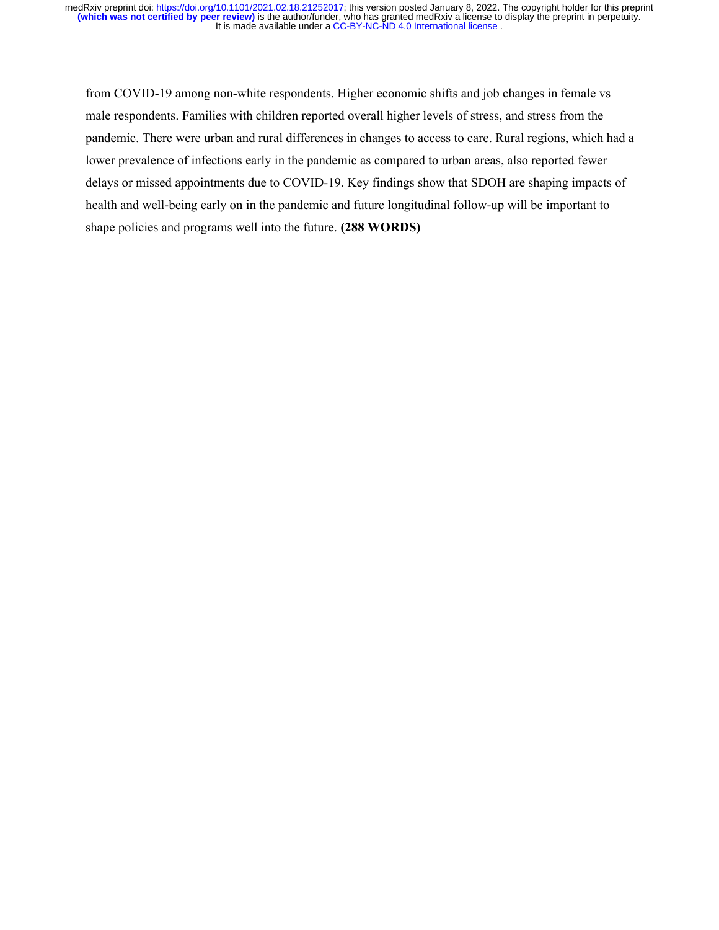from COVID-19 among non-white respondents. Higher economic shifts and job changes in female vs male respondents. Families with children reported overall higher levels of stress, and stress from the pandemic. There were urban and rural differences in changes to access to care. Rural regions, which had a lower prevalence of infections early in the pandemic as compared to urban areas, also reported fewer delays or missed appointments due to COVID-19. Key findings show that SDOH are shaping impacts of health and well-being early on in the pandemic and future longitudinal follow-up will be important to shape policies and programs well into the future. **(288 WORDS)**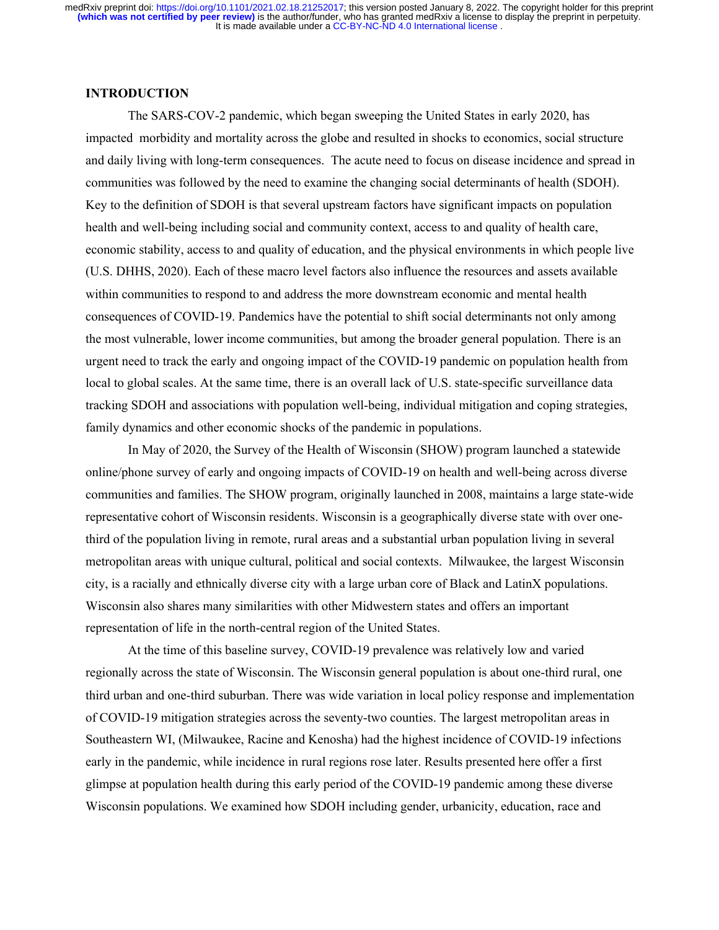#### **INTRODUCTION**

The SARS-COV-2 pandemic, which began sweeping the United States in early 2020, has impacted morbidity and mortality across the globe and resulted in shocks to economics, social structure and daily living with long-term consequences. The acute need to focus on disease incidence and spread in communities was followed by the need to examine the changing social determinants of health (SDOH). Key to the definition of SDOH is that several upstream factors have significant impacts on population health and well-being including social and community context, access to and quality of health care, economic stability, access to and quality of education, and the physical environments in which people live (U.S. DHHS, 2020). Each of these macro level factors also influence the resources and assets available within communities to respond to and address the more downstream economic and mental health consequences of COVID-19. Pandemics have the potential to shift social determinants not only among the most vulnerable, lower income communities, but among the broader general population. There is an urgent need to track the early and ongoing impact of the COVID-19 pandemic on population health from local to global scales. At the same time, there is an overall lack of U.S. state-specific surveillance data tracking SDOH and associations with population well-being, individual mitigation and coping strategies, family dynamics and other economic shocks of the pandemic in populations.

In May of 2020, the Survey of the Health of Wisconsin (SHOW) program launched a statewide online/phone survey of early and ongoing impacts of COVID-19 on health and well-being across diverse communities and families. The SHOW program, originally launched in 2008, maintains a large state-wide representative cohort of Wisconsin residents. Wisconsin is a geographically diverse state with over onethird of the population living in remote, rural areas and a substantial urban population living in several metropolitan areas with unique cultural, political and social contexts. Milwaukee, the largest Wisconsin city, is a racially and ethnically diverse city with a large urban core of Black and LatinX populations. Wisconsin also shares many similarities with other Midwestern states and offers an important representation of life in the north-central region of the United States.

At the time of this baseline survey, COVID-19 prevalence was relatively low and varied regionally across the state of Wisconsin. The Wisconsin general population is about one-third rural, one third urban and one-third suburban. There was wide variation in local policy response and implementation of COVID-19 mitigation strategies across the seventy-two counties. The largest metropolitan areas in Southeastern WI, (Milwaukee, Racine and Kenosha) had the highest incidence of COVID-19 infections early in the pandemic, while incidence in rural regions rose later. Results presented here offer a first glimpse at population health during this early period of the COVID-19 pandemic among these diverse Wisconsin populations. We examined how SDOH including gender, urbanicity, education, race and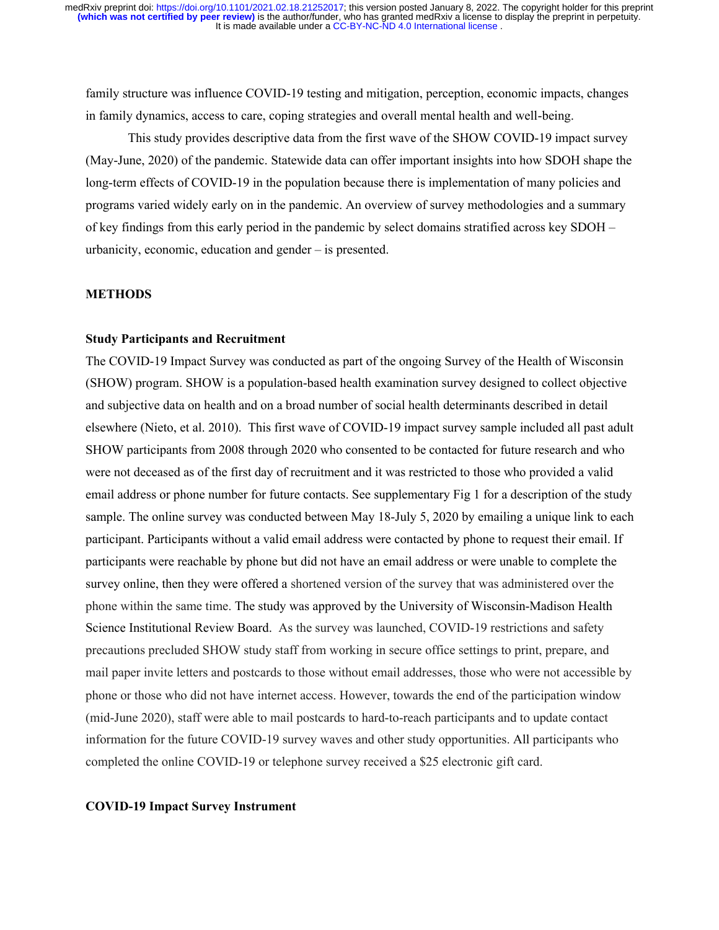family structure was influence COVID-19 testing and mitigation, perception, economic impacts, changes in family dynamics, access to care, coping strategies and overall mental health and well-being.

This study provides descriptive data from the first wave of the SHOW COVID-19 impact survey (May-June, 2020) of the pandemic. Statewide data can offer important insights into how SDOH shape the long-term effects of COVID-19 in the population because there is implementation of many policies and programs varied widely early on in the pandemic. An overview of survey methodologies and a summary of key findings from this early period in the pandemic by select domains stratified across key SDOH – urbanicity, economic, education and gender – is presented.

#### **METHODS**

## **Study Participants and Recruitment**

The COVID-19 Impact Survey was conducted as part of the ongoing Survey of the Health of Wisconsin (SHOW) program. SHOW is a population-based health examination survey designed to collect objective and subjective data on health and on a broad number of social health determinants described in detail elsewhere (Nieto, et al. 2010). This first wave of COVID-19 impact survey sample included all past adult SHOW participants from 2008 through 2020 who consented to be contacted for future research and who were not deceased as of the first day of recruitment and it was restricted to those who provided a valid email address or phone number for future contacts. See supplementary Fig 1 for a description of the study sample. The online survey was conducted between May 18-July 5, 2020 by emailing a unique link to each participant. Participants without a valid email address were contacted by phone to request their email. If participants were reachable by phone but did not have an email address or were unable to complete the survey online, then they were offered a shortened version of the survey that was administered over the phone within the same time. The study was approved by the University of Wisconsin-Madison Health Science Institutional Review Board. As the survey was launched, COVID-19 restrictions and safety precautions precluded SHOW study staff from working in secure office settings to print, prepare, and mail paper invite letters and postcards to those without email addresses, those who were not accessible by phone or those who did not have internet access. However, towards the end of the participation window (mid-June 2020), staff were able to mail postcards to hard-to-reach participants and to update contact information for the future COVID-19 survey waves and other study opportunities. All participants who completed the online COVID-19 or telephone survey received a \$25 electronic gift card.

# **COVID-19 Impact Survey Instrument**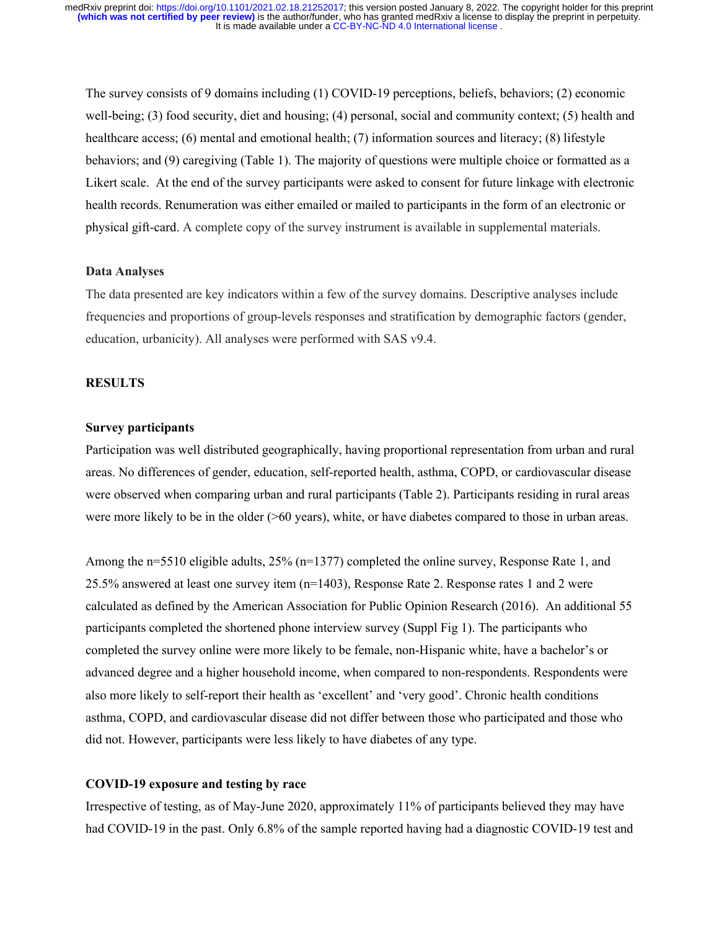The survey consists of 9 domains including (1) COVID-19 perceptions, beliefs, behaviors; (2) economic well-being; (3) food security, diet and housing; (4) personal, social and community context; (5) health and healthcare access; (6) mental and emotional health; (7) information sources and literacy; (8) lifestyle behaviors; and (9) caregiving (Table 1). The majority of questions were multiple choice or formatted as a Likert scale. At the end of the survey participants were asked to consent for future linkage with electronic health records. Renumeration was either emailed or mailed to participants in the form of an electronic or physical gift-card. A complete copy of the survey instrument is available in supplemental materials.

# **Data Analyses**

The data presented are key indicators within a few of the survey domains. Descriptive analyses include frequencies and proportions of group-levels responses and stratification by demographic factors (gender, education, urbanicity). All analyses were performed with SAS v9.4.

## **RESULTS**

## **Survey participants**

Participation was well distributed geographically, having proportional representation from urban and rural areas. No differences of gender, education, self-reported health, asthma, COPD, or cardiovascular disease were observed when comparing urban and rural participants (Table 2). Participants residing in rural areas were more likely to be in the older (>60 years), white, or have diabetes compared to those in urban areas.

Among the n=5510 eligible adults, 25% (n=1377) completed the online survey, Response Rate 1, and 25.5% answered at least one survey item (n=1403), Response Rate 2. Response rates 1 and 2 were calculated as defined by the American Association for Public Opinion Research (2016). An additional 55 participants completed the shortened phone interview survey (Suppl Fig 1). The participants who completed the survey online were more likely to be female, non-Hispanic white, have a bachelor's or advanced degree and a higher household income, when compared to non-respondents. Respondents were also more likely to self-report their health as 'excellent' and 'very good'. Chronic health conditions asthma, COPD, and cardiovascular disease did not differ between those who participated and those who did not. However, participants were less likely to have diabetes of any type.

# **COVID-19 exposure and testing by race**

Irrespective of testing, as of May-June 2020, approximately 11% of participants believed they may have had COVID-19 in the past. Only 6.8% of the sample reported having had a diagnostic COVID-19 test and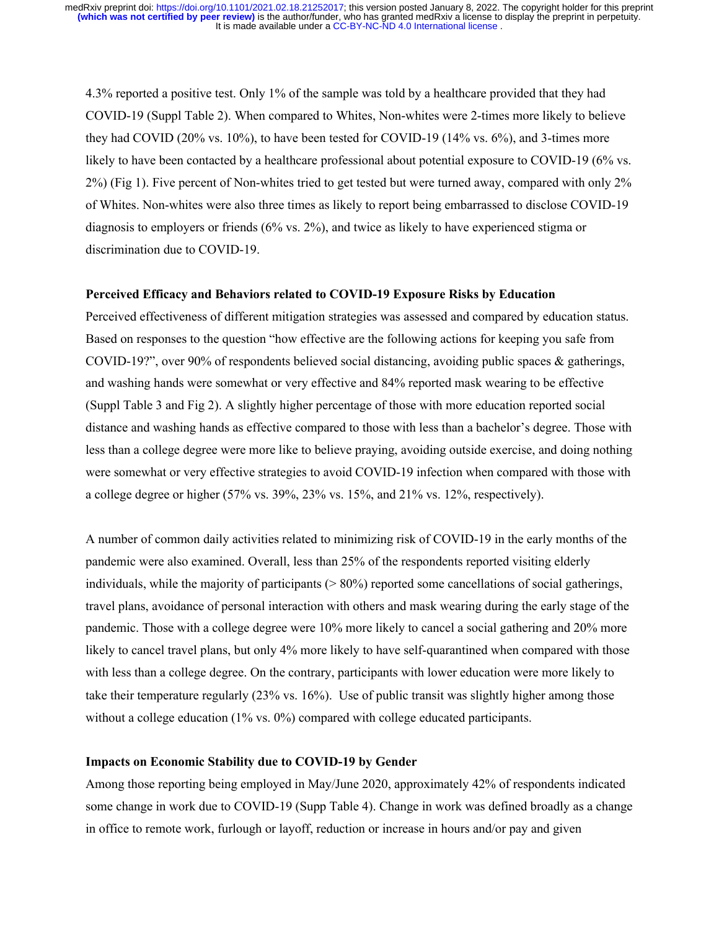4.3% reported a positive test. Only 1% of the sample was told by a healthcare provided that they had COVID-19 (Suppl Table 2). When compared to Whites, Non-whites were 2-times more likely to believe they had COVID (20% vs. 10%), to have been tested for COVID-19 (14% vs. 6%), and 3-times more likely to have been contacted by a healthcare professional about potential exposure to COVID-19 (6% vs. 2%) (Fig 1). Five percent of Non-whites tried to get tested but were turned away, compared with only 2% of Whites. Non-whites were also three times as likely to report being embarrassed to disclose COVID-19 diagnosis to employers or friends (6% vs. 2%), and twice as likely to have experienced stigma or discrimination due to COVID-19.

## **Perceived Efficacy and Behaviors related to COVID-19 Exposure Risks by Education**

Perceived effectiveness of different mitigation strategies was assessed and compared by education status. Based on responses to the question "how effective are the following actions for keeping you safe from COVID-19?", over 90% of respondents believed social distancing, avoiding public spaces & gatherings, and washing hands were somewhat or very effective and 84% reported mask wearing to be effective (Suppl Table 3 and Fig 2). A slightly higher percentage of those with more education reported social distance and washing hands as effective compared to those with less than a bachelor's degree. Those with less than a college degree were more like to believe praying, avoiding outside exercise, and doing nothing were somewhat or very effective strategies to avoid COVID-19 infection when compared with those with a college degree or higher (57% vs. 39%, 23% vs. 15%, and 21% vs. 12%, respectively).

A number of common daily activities related to minimizing risk of COVID-19 in the early months of the pandemic were also examined. Overall, less than 25% of the respondents reported visiting elderly individuals, while the majority of participants (> 80%) reported some cancellations of social gatherings, travel plans, avoidance of personal interaction with others and mask wearing during the early stage of the pandemic. Those with a college degree were 10% more likely to cancel a social gathering and 20% more likely to cancel travel plans, but only 4% more likely to have self-quarantined when compared with those with less than a college degree. On the contrary, participants with lower education were more likely to take their temperature regularly (23% vs. 16%). Use of public transit was slightly higher among those without a college education (1% vs. 0%) compared with college educated participants.

#### **Impacts on Economic Stability due to COVID-19 by Gender**

Among those reporting being employed in May/June 2020, approximately 42% of respondents indicated some change in work due to COVID-19 (Supp Table 4). Change in work was defined broadly as a change in office to remote work, furlough or layoff, reduction or increase in hours and/or pay and given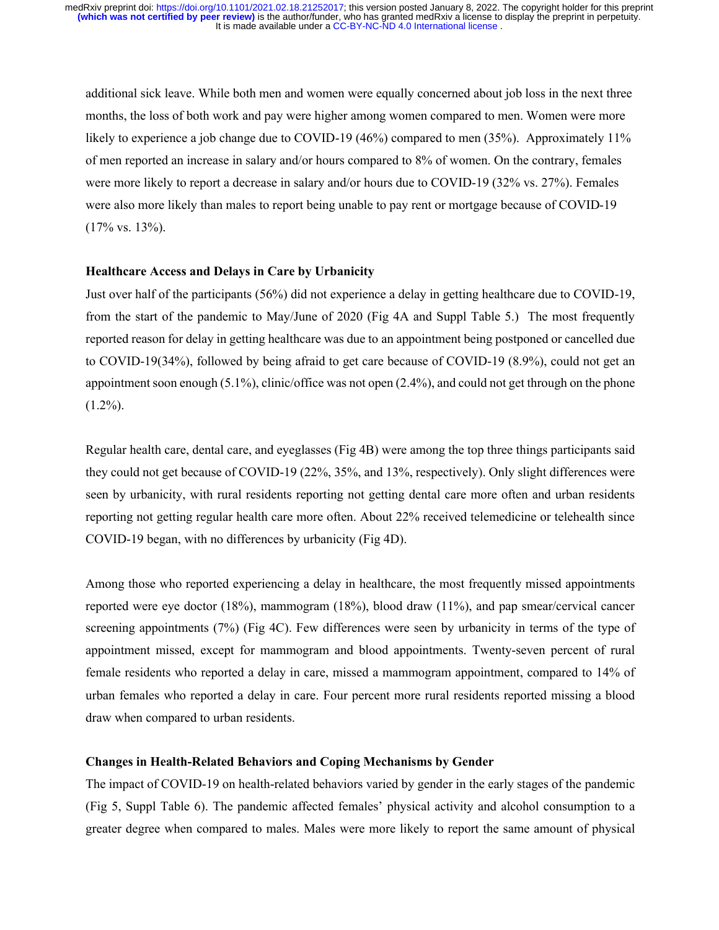additional sick leave. While both men and women were equally concerned about job loss in the next three months, the loss of both work and pay were higher among women compared to men. Women were more likely to experience a job change due to COVID-19 (46%) compared to men (35%). Approximately 11% of men reported an increase in salary and/or hours compared to 8% of women. On the contrary, females were more likely to report a decrease in salary and/or hours due to COVID-19 (32% vs. 27%). Females were also more likely than males to report being unable to pay rent or mortgage because of COVID-19  $(17\% \text{ vs. } 13\%).$ 

#### **Healthcare Access and Delays in Care by Urbanicity**

Just over half of the participants (56%) did not experience a delay in getting healthcare due to COVID-19, from the start of the pandemic to May/June of 2020 (Fig 4A and Suppl Table 5.) The most frequently reported reason for delay in getting healthcare was due to an appointment being postponed or cancelled due to COVID-19(34%), followed by being afraid to get care because of COVID-19 (8.9%), could not get an appointment soon enough (5.1%), clinic/office was not open (2.4%), and could not get through on the phone  $(1.2\%)$ .

Regular health care, dental care, and eyeglasses (Fig 4B) were among the top three things participants said they could not get because of COVID-19 (22%, 35%, and 13%, respectively). Only slight differences were seen by urbanicity, with rural residents reporting not getting dental care more often and urban residents reporting not getting regular health care more often. About 22% received telemedicine or telehealth since COVID-19 began, with no differences by urbanicity (Fig 4D).

Among those who reported experiencing a delay in healthcare, the most frequently missed appointments reported were eye doctor (18%), mammogram (18%), blood draw (11%), and pap smear/cervical cancer screening appointments (7%) (Fig 4C). Few differences were seen by urbanicity in terms of the type of appointment missed, except for mammogram and blood appointments. Twenty-seven percent of rural female residents who reported a delay in care, missed a mammogram appointment, compared to 14% of urban females who reported a delay in care. Four percent more rural residents reported missing a blood draw when compared to urban residents.

## **Changes in Health-Related Behaviors and Coping Mechanisms by Gender**

The impact of COVID-19 on health-related behaviors varied by gender in the early stages of the pandemic (Fig 5, Suppl Table 6). The pandemic affected females' physical activity and alcohol consumption to a greater degree when compared to males. Males were more likely to report the same amount of physical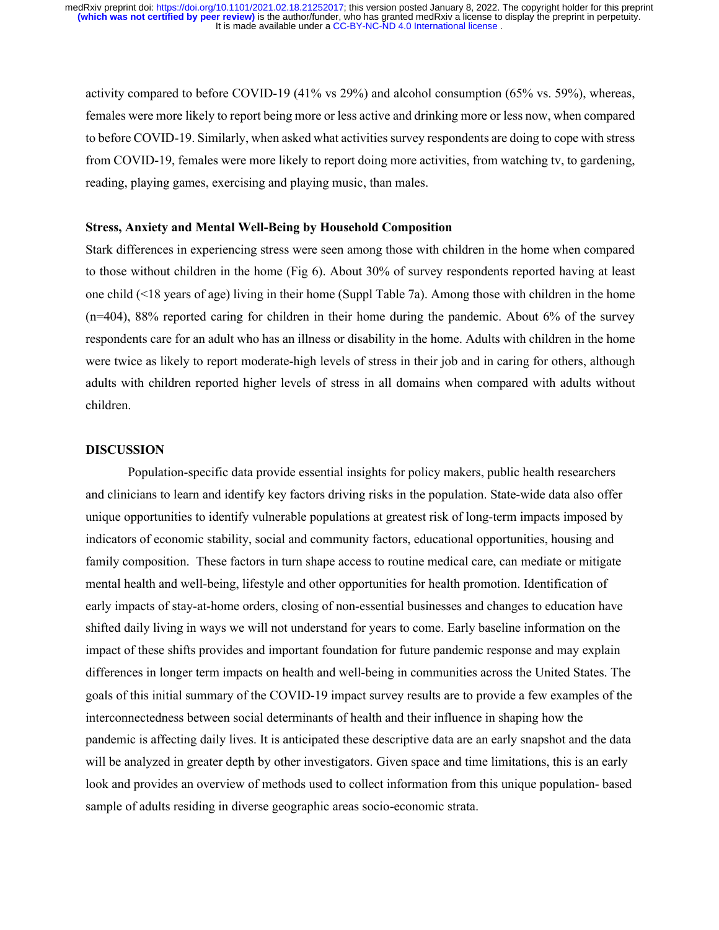activity compared to before COVID-19 (41% vs 29%) and alcohol consumption (65% vs. 59%), whereas, females were more likely to report being more or less active and drinking more or less now, when compared to before COVID-19. Similarly, when asked what activities survey respondents are doing to cope with stress from COVID-19, females were more likely to report doing more activities, from watching tv, to gardening, reading, playing games, exercising and playing music, than males.

## **Stress, Anxiety and Mental Well-Being by Household Composition**

Stark differences in experiencing stress were seen among those with children in the home when compared to those without children in the home (Fig 6). About 30% of survey respondents reported having at least one child (<18 years of age) living in their home (Suppl Table 7a). Among those with children in the home (n=404), 88% reported caring for children in their home during the pandemic. About 6% of the survey respondents care for an adult who has an illness or disability in the home. Adults with children in the home were twice as likely to report moderate-high levels of stress in their job and in caring for others, although adults with children reported higher levels of stress in all domains when compared with adults without children.

## **DISCUSSION**

Population-specific data provide essential insights for policy makers, public health researchers and clinicians to learn and identify key factors driving risks in the population. State-wide data also offer unique opportunities to identify vulnerable populations at greatest risk of long-term impacts imposed by indicators of economic stability, social and community factors, educational opportunities, housing and family composition. These factors in turn shape access to routine medical care, can mediate or mitigate mental health and well-being, lifestyle and other opportunities for health promotion. Identification of early impacts of stay-at-home orders, closing of non-essential businesses and changes to education have shifted daily living in ways we will not understand for years to come. Early baseline information on the impact of these shifts provides and important foundation for future pandemic response and may explain differences in longer term impacts on health and well-being in communities across the United States. The goals of this initial summary of the COVID-19 impact survey results are to provide a few examples of the interconnectedness between social determinants of health and their influence in shaping how the pandemic is affecting daily lives. It is anticipated these descriptive data are an early snapshot and the data will be analyzed in greater depth by other investigators. Given space and time limitations, this is an early look and provides an overview of methods used to collect information from this unique population- based sample of adults residing in diverse geographic areas socio-economic strata.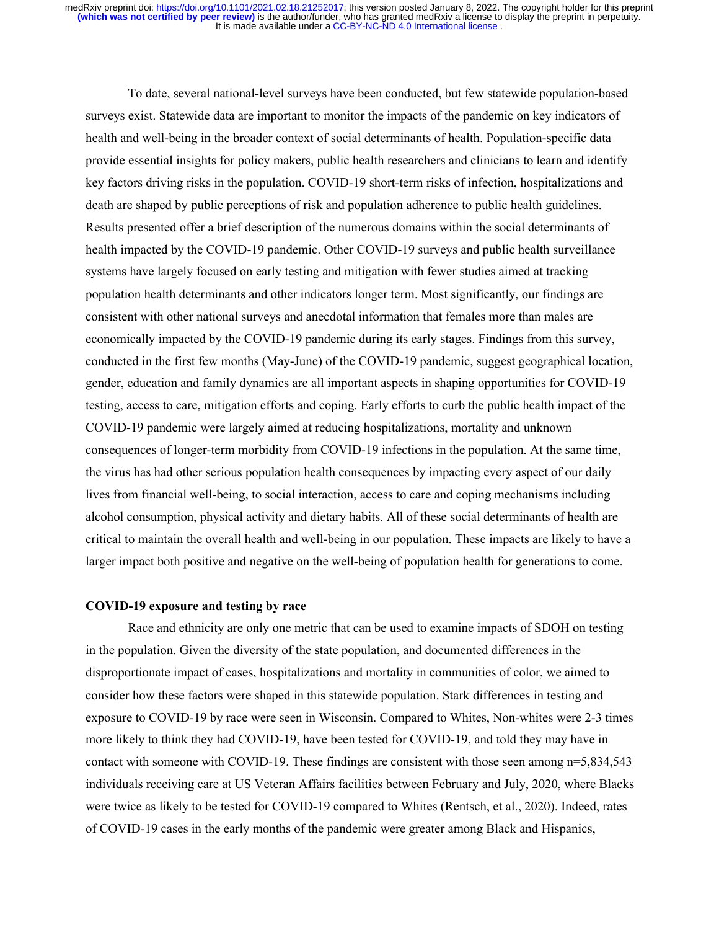To date, several national-level surveys have been conducted, but few statewide population-based surveys exist. Statewide data are important to monitor the impacts of the pandemic on key indicators of health and well-being in the broader context of social determinants of health. Population-specific data provide essential insights for policy makers, public health researchers and clinicians to learn and identify key factors driving risks in the population. COVID-19 short-term risks of infection, hospitalizations and death are shaped by public perceptions of risk and population adherence to public health guidelines. Results presented offer a brief description of the numerous domains within the social determinants of health impacted by the COVID-19 pandemic. Other COVID-19 surveys and public health surveillance systems have largely focused on early testing and mitigation with fewer studies aimed at tracking population health determinants and other indicators longer term. Most significantly, our findings are consistent with other national surveys and anecdotal information that females more than males are economically impacted by the COVID-19 pandemic during its early stages. Findings from this survey, conducted in the first few months (May-June) of the COVID-19 pandemic, suggest geographical location, gender, education and family dynamics are all important aspects in shaping opportunities for COVID-19 testing, access to care, mitigation efforts and coping. Early efforts to curb the public health impact of the COVID-19 pandemic were largely aimed at reducing hospitalizations, mortality and unknown consequences of longer-term morbidity from COVID-19 infections in the population. At the same time, the virus has had other serious population health consequences by impacting every aspect of our daily lives from financial well-being, to social interaction, access to care and coping mechanisms including alcohol consumption, physical activity and dietary habits. All of these social determinants of health are critical to maintain the overall health and well-being in our population. These impacts are likely to have a larger impact both positive and negative on the well-being of population health for generations to come.

#### **COVID-19 exposure and testing by race**

Race and ethnicity are only one metric that can be used to examine impacts of SDOH on testing in the population. Given the diversity of the state population, and documented differences in the disproportionate impact of cases, hospitalizations and mortality in communities of color, we aimed to consider how these factors were shaped in this statewide population. Stark differences in testing and exposure to COVID-19 by race were seen in Wisconsin. Compared to Whites, Non-whites were 2-3 times more likely to think they had COVID-19, have been tested for COVID-19, and told they may have in contact with someone with COVID-19. These findings are consistent with those seen among n=5,834,543 individuals receiving care at US Veteran Affairs facilities between February and July, 2020, where Blacks were twice as likely to be tested for COVID-19 compared to Whites (Rentsch, et al., 2020). Indeed, rates of COVID-19 cases in the early months of the pandemic were greater among Black and Hispanics,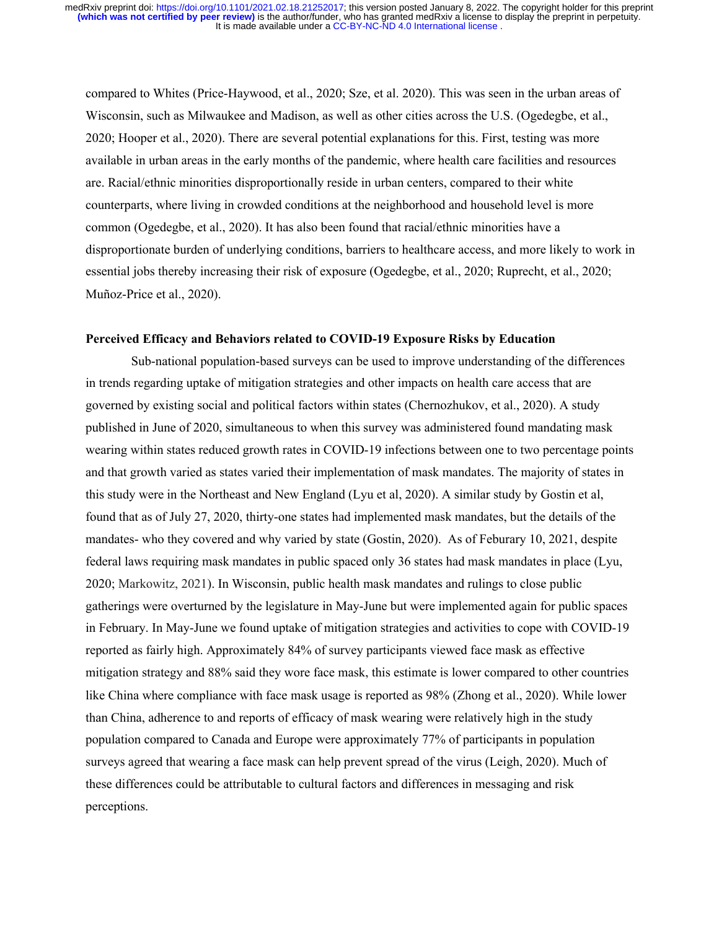compared to Whites (Price-Haywood, et al., 2020; Sze, et al. 2020). This was seen in the urban areas of Wisconsin, such as Milwaukee and Madison, as well as other cities across the U.S. (Ogedegbe, et al., 2020; Hooper et al., 2020). There are several potential explanations for this. First, testing was more available in urban areas in the early months of the pandemic, where health care facilities and resources are. Racial/ethnic minorities disproportionally reside in urban centers, compared to their white counterparts, where living in crowded conditions at the neighborhood and household level is more common (Ogedegbe, et al., 2020). It has also been found that racial/ethnic minorities have a disproportionate burden of underlying conditions, barriers to healthcare access, and more likely to work in essential jobs thereby increasing their risk of exposure (Ogedegbe, et al., 2020; Ruprecht, et al., 2020; Muñoz-Price et al., 2020).

#### **Perceived Efficacy and Behaviors related to COVID-19 Exposure Risks by Education**

Sub-national population-based surveys can be used to improve understanding of the differences in trends regarding uptake of mitigation strategies and other impacts on health care access that are governed by existing social and political factors within states (Chernozhukov, et al., 2020). A study published in June of 2020, simultaneous to when this survey was administered found mandating mask wearing within states reduced growth rates in COVID-19 infections between one to two percentage points and that growth varied as states varied their implementation of mask mandates. The majority of states in this study were in the Northeast and New England (Lyu et al, 2020). A similar study by Gostin et al, found that as of July 27, 2020, thirty-one states had implemented mask mandates, but the details of the mandates- who they covered and why varied by state (Gostin, 2020). As of Feburary 10, 2021, despite federal laws requiring mask mandates in public spaced only 36 states had mask mandates in place (Lyu, 2020; Markowitz, 2021). In Wisconsin, public health mask mandates and rulings to close public gatherings were overturned by the legislature in May-June but were implemented again for public spaces in February. In May-June we found uptake of mitigation strategies and activities to cope with COVID-19 reported as fairly high. Approximately 84% of survey participants viewed face mask as effective mitigation strategy and 88% said they wore face mask, this estimate is lower compared to other countries like China where compliance with face mask usage is reported as 98% (Zhong et al., 2020). While lower than China, adherence to and reports of efficacy of mask wearing were relatively high in the study population compared to Canada and Europe were approximately 77% of participants in population surveys agreed that wearing a face mask can help prevent spread of the virus (Leigh, 2020). Much of these differences could be attributable to cultural factors and differences in messaging and risk perceptions.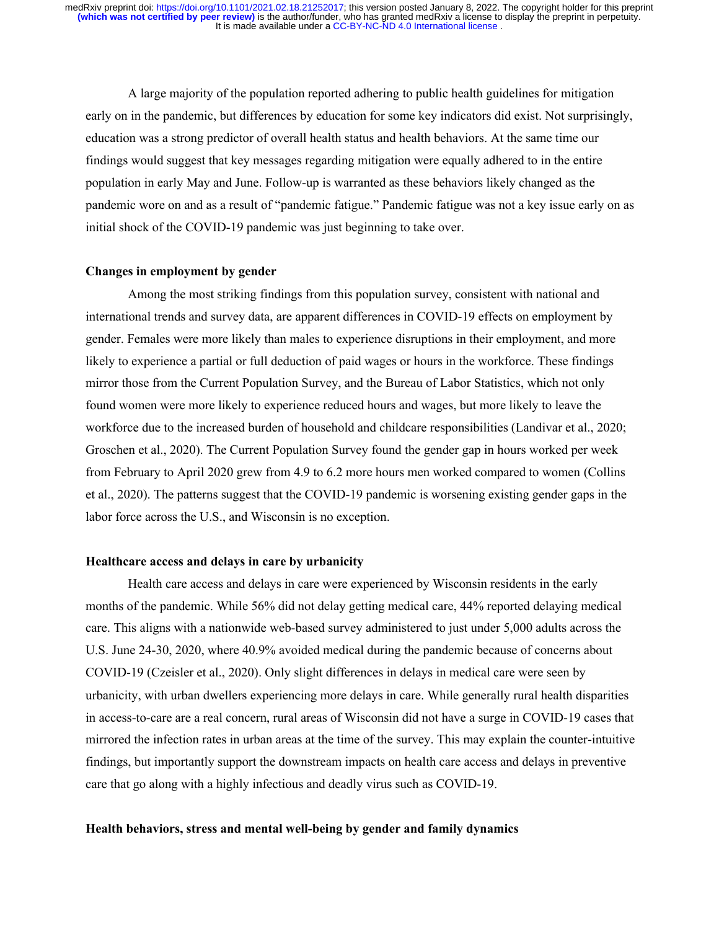A large majority of the population reported adhering to public health guidelines for mitigation early on in the pandemic, but differences by education for some key indicators did exist. Not surprisingly, education was a strong predictor of overall health status and health behaviors. At the same time our findings would suggest that key messages regarding mitigation were equally adhered to in the entire population in early May and June. Follow-up is warranted as these behaviors likely changed as the pandemic wore on and as a result of "pandemic fatigue." Pandemic fatigue was not a key issue early on as initial shock of the COVID-19 pandemic was just beginning to take over.

#### **Changes in employment by gender**

Among the most striking findings from this population survey, consistent with national and international trends and survey data, are apparent differences in COVID-19 effects on employment by gender. Females were more likely than males to experience disruptions in their employment, and more likely to experience a partial or full deduction of paid wages or hours in the workforce. These findings mirror those from the Current Population Survey, and the Bureau of Labor Statistics, which not only found women were more likely to experience reduced hours and wages, but more likely to leave the workforce due to the increased burden of household and childcare responsibilities (Landivar et al., 2020; Groschen et al., 2020). The Current Population Survey found the gender gap in hours worked per week from February to April 2020 grew from 4.9 to 6.2 more hours men worked compared to women (Collins et al., 2020). The patterns suggest that the COVID-19 pandemic is worsening existing gender gaps in the labor force across the U.S., and Wisconsin is no exception.

#### **Healthcare access and delays in care by urbanicity**

Health care access and delays in care were experienced by Wisconsin residents in the early months of the pandemic. While 56% did not delay getting medical care, 44% reported delaying medical care. This aligns with a nationwide web-based survey administered to just under 5,000 adults across the U.S. June 24-30, 2020, where 40.9% avoided medical during the pandemic because of concerns about COVID-19 (Czeisler et al., 2020). Only slight differences in delays in medical care were seen by urbanicity, with urban dwellers experiencing more delays in care. While generally rural health disparities in access-to-care are a real concern, rural areas of Wisconsin did not have a surge in COVID-19 cases that mirrored the infection rates in urban areas at the time of the survey. This may explain the counter-intuitive findings, but importantly support the downstream impacts on health care access and delays in preventive care that go along with a highly infectious and deadly virus such as COVID-19.

## **Health behaviors, stress and mental well-being by gender and family dynamics**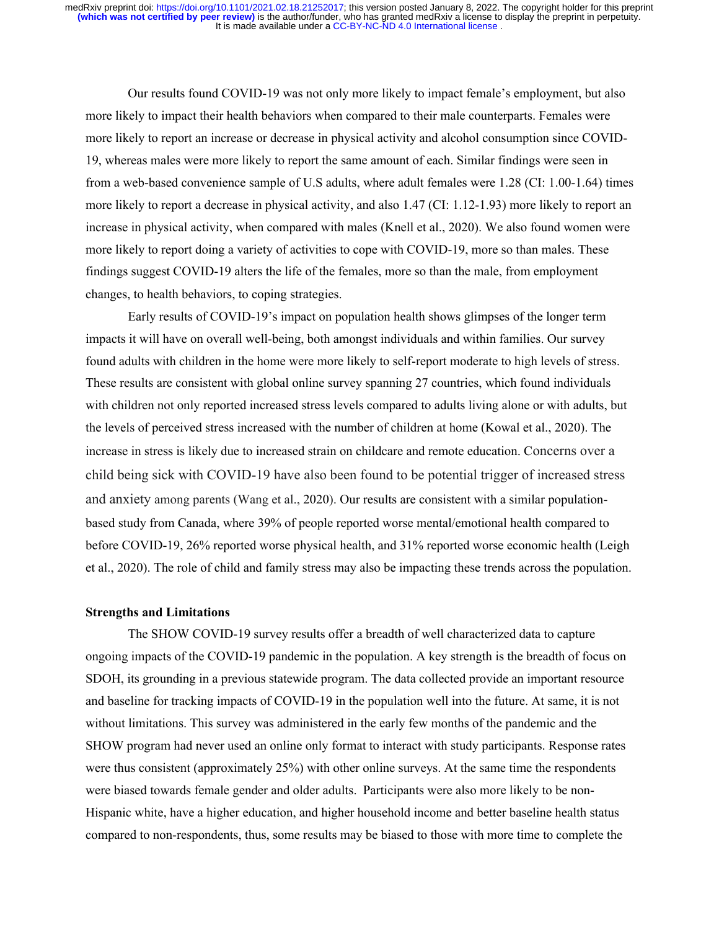Our results found COVID-19 was not only more likely to impact female's employment, but also more likely to impact their health behaviors when compared to their male counterparts. Females were more likely to report an increase or decrease in physical activity and alcohol consumption since COVID-19, whereas males were more likely to report the same amount of each. Similar findings were seen in from a web-based convenience sample of U.S adults, where adult females were 1.28 (CI: 1.00-1.64) times more likely to report a decrease in physical activity, and also 1.47 (CI: 1.12-1.93) more likely to report an increase in physical activity, when compared with males (Knell et al., 2020). We also found women were more likely to report doing a variety of activities to cope with COVID-19, more so than males. These findings suggest COVID-19 alters the life of the females, more so than the male, from employment changes, to health behaviors, to coping strategies.

Early results of COVID-19's impact on population health shows glimpses of the longer term impacts it will have on overall well-being, both amongst individuals and within families. Our survey found adults with children in the home were more likely to self-report moderate to high levels of stress. These results are consistent with global online survey spanning 27 countries, which found individuals with children not only reported increased stress levels compared to adults living alone or with adults, but the levels of perceived stress increased with the number of children at home (Kowal et al., 2020). The increase in stress is likely due to increased strain on childcare and remote education. Concerns over a child being sick with COVID‐19 have also been found to be potential trigger of increased stress and anxiety among parents (Wang et al., 2020). Our results are consistent with a similar populationbased study from Canada, where 39% of people reported worse mental/emotional health compared to before COVID-19, 26% reported worse physical health, and 31% reported worse economic health (Leigh et al., 2020). The role of child and family stress may also be impacting these trends across the population.

# **Strengths and Limitations**

The SHOW COVID-19 survey results offer a breadth of well characterized data to capture ongoing impacts of the COVID-19 pandemic in the population. A key strength is the breadth of focus on SDOH, its grounding in a previous statewide program. The data collected provide an important resource and baseline for tracking impacts of COVID-19 in the population well into the future. At same, it is not without limitations. This survey was administered in the early few months of the pandemic and the SHOW program had never used an online only format to interact with study participants. Response rates were thus consistent (approximately 25%) with other online surveys. At the same time the respondents were biased towards female gender and older adults. Participants were also more likely to be non-Hispanic white, have a higher education, and higher household income and better baseline health status compared to non-respondents, thus, some results may be biased to those with more time to complete the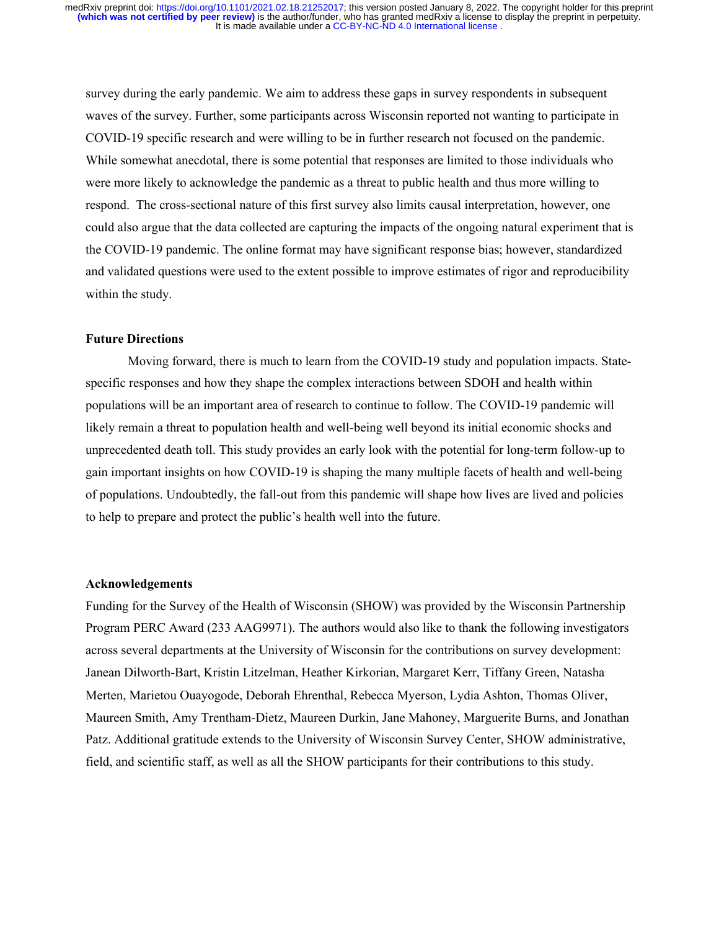survey during the early pandemic. We aim to address these gaps in survey respondents in subsequent waves of the survey. Further, some participants across Wisconsin reported not wanting to participate in COVID-19 specific research and were willing to be in further research not focused on the pandemic. While somewhat anecdotal, there is some potential that responses are limited to those individuals who were more likely to acknowledge the pandemic as a threat to public health and thus more willing to respond. The cross-sectional nature of this first survey also limits causal interpretation, however, one could also argue that the data collected are capturing the impacts of the ongoing natural experiment that is the COVID-19 pandemic. The online format may have significant response bias; however, standardized and validated questions were used to the extent possible to improve estimates of rigor and reproducibility within the study.

#### **Future Directions**

Moving forward, there is much to learn from the COVID-19 study and population impacts. Statespecific responses and how they shape the complex interactions between SDOH and health within populations will be an important area of research to continue to follow. The COVID-19 pandemic will likely remain a threat to population health and well-being well beyond its initial economic shocks and unprecedented death toll. This study provides an early look with the potential for long-term follow-up to gain important insights on how COVID-19 is shaping the many multiple facets of health and well-being of populations. Undoubtedly, the fall-out from this pandemic will shape how lives are lived and policies to help to prepare and protect the public's health well into the future.

#### **Acknowledgements**

Funding for the Survey of the Health of Wisconsin (SHOW) was provided by the Wisconsin Partnership Program PERC Award (233 AAG9971). The authors would also like to thank the following investigators across several departments at the University of Wisconsin for the contributions on survey development: Janean Dilworth-Bart, Kristin Litzelman, Heather Kirkorian, Margaret Kerr, Tiffany Green, Natasha Merten, Marietou Ouayogode, Deborah Ehrenthal, Rebecca Myerson, Lydia Ashton, Thomas Oliver, Maureen Smith, Amy Trentham-Dietz, Maureen Durkin, Jane Mahoney, Marguerite Burns, and Jonathan Patz. Additional gratitude extends to the University of Wisconsin Survey Center, SHOW administrative, field, and scientific staff, as well as all the SHOW participants for their contributions to this study.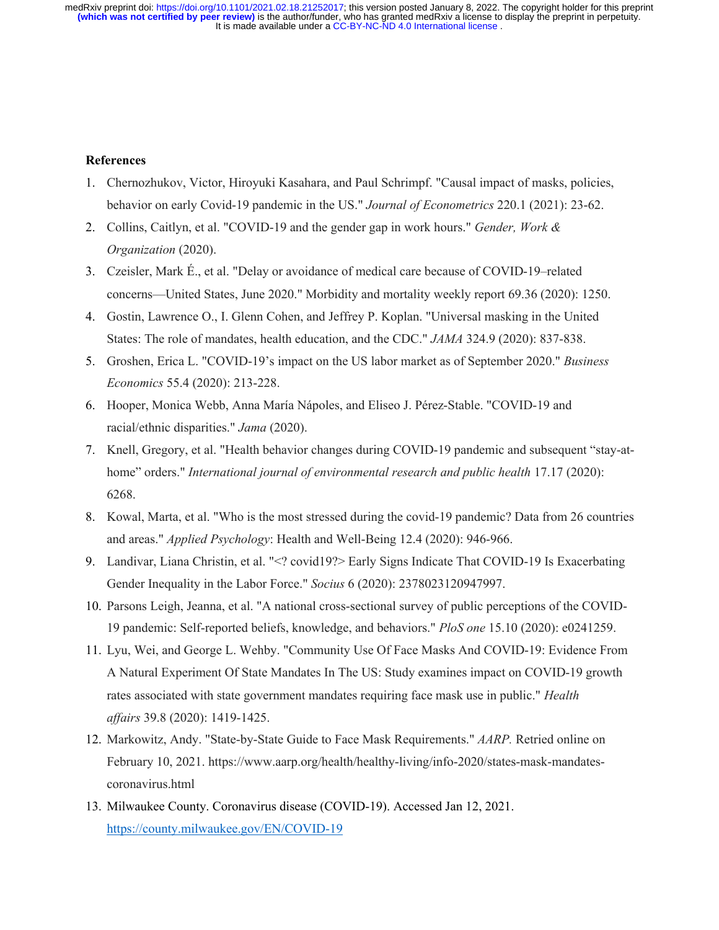## **References**

- 1. Chernozhukov, Victor, Hiroyuki Kasahara, and Paul Schrimpf. "Causal impact of masks, policies, behavior on early Covid-19 pandemic in the US." *Journal of Econometrics* 220.1 (2021): 23-62.
- 2. Collins, Caitlyn, et al. "COVID‐19 and the gender gap in work hours." *Gender, Work & Organization* (2020).
- 3. Czeisler, Mark É., et al. "Delay or avoidance of medical care because of COVID-19–related concerns—United States, June 2020." Morbidity and mortality weekly report 69.36 (2020): 1250.
- 4. Gostin, Lawrence O., I. Glenn Cohen, and Jeffrey P. Koplan. "Universal masking in the United States: The role of mandates, health education, and the CDC." *JAMA* 324.9 (2020): 837-838.
- 5. Groshen, Erica L. "COVID-19's impact on the US labor market as of September 2020." *Business Economics* 55.4 (2020): 213-228.
- 6. Hooper, Monica Webb, Anna María Nápoles, and Eliseo J. Pérez-Stable. "COVID-19 and racial/ethnic disparities." *Jama* (2020).
- 7. Knell, Gregory, et al. "Health behavior changes during COVID-19 pandemic and subsequent "stay-athome" orders." *International journal of environmental research and public health* 17.17 (2020): 6268.
- 8. Kowal, Marta, et al. "Who is the most stressed during the covid‐19 pandemic? Data from 26 countries and areas." *Applied Psychology*: Health and Well‐Being 12.4 (2020): 946-966.
- 9. Landivar, Liana Christin, et al. "<? covid19?> Early Signs Indicate That COVID-19 Is Exacerbating Gender Inequality in the Labor Force." *Socius* 6 (2020): 2378023120947997.
- 10. Parsons Leigh, Jeanna, et al. "A national cross-sectional survey of public perceptions of the COVID-19 pandemic: Self-reported beliefs, knowledge, and behaviors." *PloS one* 15.10 (2020): e0241259.
- 11. Lyu, Wei, and George L. Wehby. "Community Use Of Face Masks And COVID-19: Evidence From A Natural Experiment Of State Mandates In The US: Study examines impact on COVID-19 growth rates associated with state government mandates requiring face mask use in public." *Health affairs* 39.8 (2020): 1419-1425.
- 12. Markowitz, Andy. "State-by-State Guide to Face Mask Requirements." *AARP.* Retried online on February 10, 2021. https://www.aarp.org/health/healthy-living/info-2020/states-mask-mandatescoronavirus.html
- 13. Milwaukee County. Coronavirus disease (COVID-19). Accessed Jan 12, 2021. https://county.milwaukee.gov/EN/COVID-19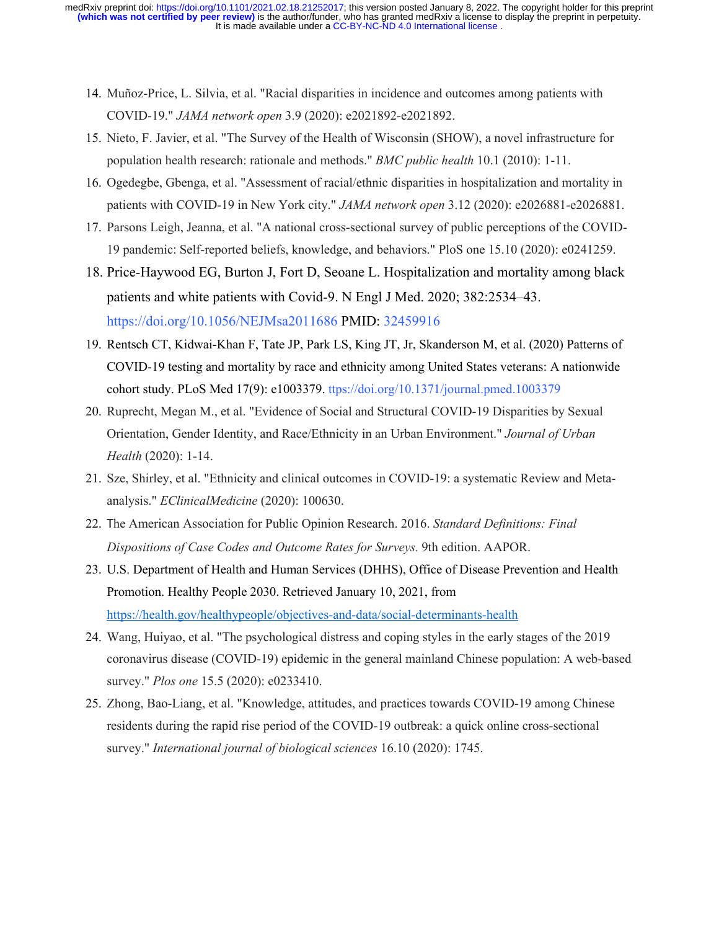- 14. Muñoz-Price, L. Silvia, et al. "Racial disparities in incidence and outcomes among patients with COVID-19." *JAMA network open* 3.9 (2020): e2021892-e2021892.
- 15. Nieto, F. Javier, et al. "The Survey of the Health of Wisconsin (SHOW), a novel infrastructure for population health research: rationale and methods." *BMC public health* 10.1 (2010): 1-11.
- 16. Ogedegbe, Gbenga, et al. "Assessment of racial/ethnic disparities in hospitalization and mortality in patients with COVID-19 in New York city." *JAMA network open* 3.12 (2020): e2026881-e2026881.
- 17. Parsons Leigh, Jeanna, et al. "A national cross-sectional survey of public perceptions of the COVID-19 pandemic: Self-reported beliefs, knowledge, and behaviors." PloS one 15.10 (2020): e0241259.
- 18. Price-Haywood EG, Burton J, Fort D, Seoane L. Hospitalization and mortality among black patients and white patients with Covid-9. N Engl J Med. 2020; 382:2534–43. https://doi.org/10.1056/NEJMsa2011686 PMID: 32459916
- 19. Rentsch CT, Kidwai-Khan F, Tate JP, Park LS, King JT, Jr, Skanderson M, et al. (2020) Patterns of COVID-19 testing and mortality by race and ethnicity among United States veterans: A nationwide cohort study. PLoS Med 17(9): e1003379. ttps://doi.org/10.1371/journal.pmed.1003379
- 20. Ruprecht, Megan M., et al. "Evidence of Social and Structural COVID-19 Disparities by Sexual Orientation, Gender Identity, and Race/Ethnicity in an Urban Environment." *Journal of Urban Health* (2020): 1-14.
- 21. Sze, Shirley, et al. "Ethnicity and clinical outcomes in COVID-19: a systematic Review and Metaanalysis." *EClinicalMedicine* (2020): 100630.
- 22. The American Association for Public Opinion Research. 2016. *Standard Definitions: Final Dispositions of Case Codes and Outcome Rates for Surveys.* 9th edition. AAPOR.
- 23. U.S. Department of Health and Human Services (DHHS), Office of Disease Prevention and Health Promotion. Healthy People 2030. Retrieved January 10, 2021, from https://health.gov/healthypeople/objectives-and-data/social-determinants-health
- 24. Wang, Huiyao, et al. "The psychological distress and coping styles in the early stages of the 2019 coronavirus disease (COVID-19) epidemic in the general mainland Chinese population: A web-based survey." *Plos one* 15.5 (2020): e0233410.
- 25. Zhong, Bao-Liang, et al. "Knowledge, attitudes, and practices towards COVID-19 among Chinese residents during the rapid rise period of the COVID-19 outbreak: a quick online cross-sectional survey." *International journal of biological sciences* 16.10 (2020): 1745.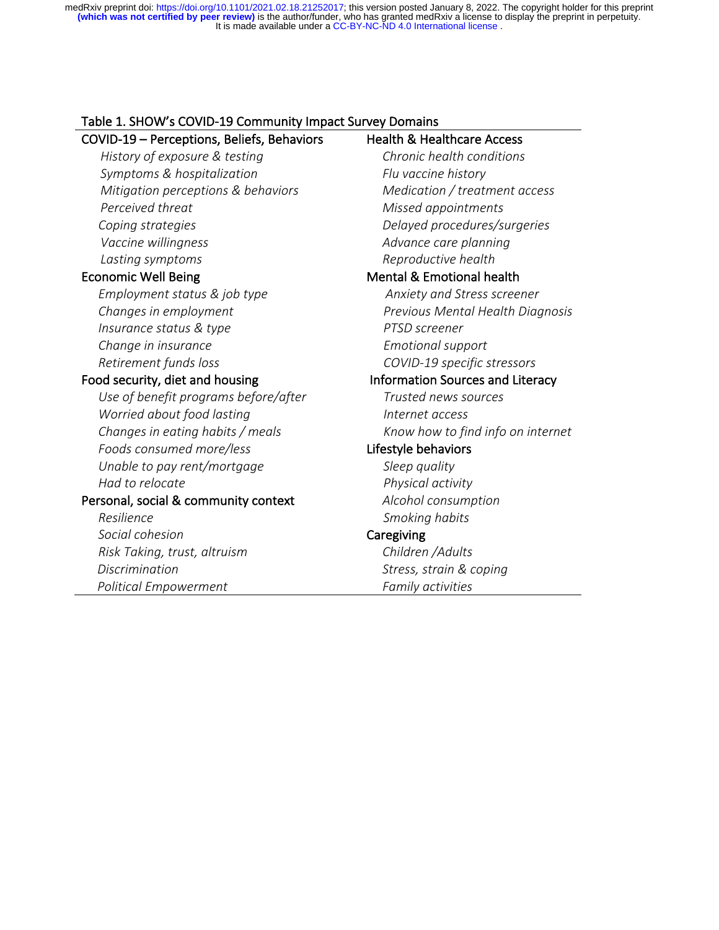# Table 1. SHOW's COVID-19 Community Impact Survey Domains

| COVID-19 - Perceptions, Beliefs, Behaviors | <b>Health &amp; Healthcare Access</b>   |
|--------------------------------------------|-----------------------------------------|
| History of exposure & testing              | Chronic health conditions               |
| Symptoms & hospitalization                 | Flu vaccine history                     |
| Mitigation perceptions & behaviors         | Medication / treatment access           |
| Perceived threat                           | Missed appointments                     |
| Coping strategies                          | Delayed procedures/surgeries            |
| Vaccine willingness                        | Advance care planning                   |
| Lasting symptoms                           | Reproductive health                     |
| <b>Economic Well Being</b>                 | Mental & Emotional health               |
| Employment status & job type               | Anxiety and Stress screener             |
| Changes in employment                      | Previous Mental Health Diagnosis        |
| Insurance status & type                    | PTSD screener                           |
| Change in insurance                        | <b>Emotional support</b>                |
| Retirement funds loss                      | COVID-19 specific stressors             |
| Food security, diet and housing            | <b>Information Sources and Literacy</b> |
| Use of benefit programs before/after       | Trusted news sources                    |
| Worried about food lasting                 | Internet access                         |
| Changes in eating habits / meals           | Know how to find info on internet       |
| Foods consumed more/less                   | Lifestyle behaviors                     |
| Unable to pay rent/mortgage                | Sleep quality                           |
| Had to relocate                            | Physical activity                       |
| Personal, social & community context       | Alcohol consumption                     |
| Resilience                                 | Smoking habits                          |
| Social cohesion                            | Caregiving                              |
| Risk Taking, trust, altruism               | Children / Adults                       |
| <b>Discrimination</b>                      | Stress, strain & coping                 |
| Political Empowerment                      | Family activities                       |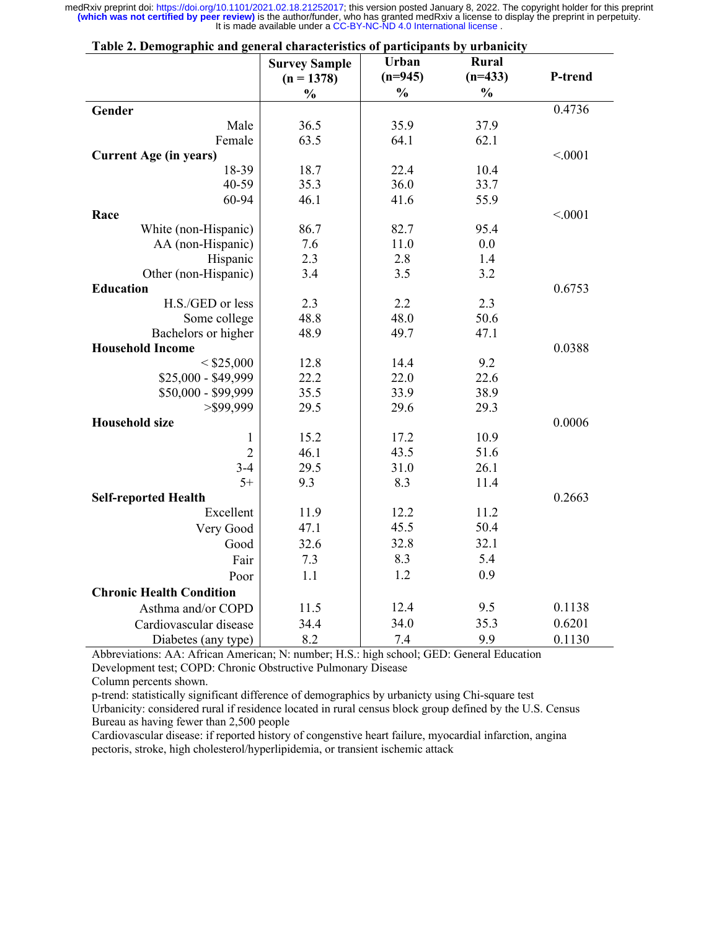| $(n=945)$<br>$(n=433)$<br>P-trend<br>$(n = 1378)$<br>$\frac{0}{0}$<br>$\frac{0}{0}$<br>$\frac{0}{0}$ |  |
|------------------------------------------------------------------------------------------------------|--|
|                                                                                                      |  |
|                                                                                                      |  |
| 0.4736<br>Gender                                                                                     |  |
| Male<br>36.5<br>35.9<br>37.9                                                                         |  |
| 63.5<br>64.1<br>Female<br>62.1                                                                       |  |
| <b>Current Age (in years)</b><br>< .0001                                                             |  |
| 18-39<br>18.7<br>22.4<br>10.4                                                                        |  |
| 40-59<br>35.3<br>36.0<br>33.7                                                                        |  |
| 60-94<br>46.1<br>41.6<br>55.9                                                                        |  |
| Race<br>< .0001                                                                                      |  |
| White (non-Hispanic)<br>86.7<br>82.7<br>95.4                                                         |  |
| AA (non-Hispanic)<br>7.6<br>11.0<br>0.0                                                              |  |
| 2.3<br>Hispanic<br>2.8<br>1.4                                                                        |  |
| 3.4<br>3.5<br>3.2<br>Other (non-Hispanic)                                                            |  |
| <b>Education</b><br>0.6753                                                                           |  |
| H.S./GED or less<br>2.3<br>2.2<br>2.3                                                                |  |
| 48.8<br>48.0<br>50.6<br>Some college                                                                 |  |
| 49.7<br>48.9<br>47.1<br>Bachelors or higher                                                          |  |
| <b>Household Income</b><br>0.0388                                                                    |  |
| 12.8<br>9.2<br>$<$ \$25,000<br>14.4                                                                  |  |
| \$25,000 - \$49,999<br>22.2<br>22.0<br>22.6                                                          |  |
| \$50,000 - \$99,999<br>35.5<br>33.9<br>38.9                                                          |  |
| $>$ \$99,999<br>29.5<br>29.6<br>29.3                                                                 |  |
| <b>Household size</b><br>0.0006                                                                      |  |
| 15.2<br>17.2<br>10.9<br>$\mathbf{1}$                                                                 |  |
| 43.5<br>46.1<br>51.6<br>$\overline{2}$                                                               |  |
| 29.5<br>$3 - 4$<br>31.0<br>26.1                                                                      |  |
| $5+$<br>9.3<br>8.3<br>11.4                                                                           |  |
| 0.2663<br><b>Self-reported Health</b>                                                                |  |
| Excellent<br>11.9<br>12.2<br>11.2                                                                    |  |
| 45.5<br>50.4<br>Very Good<br>47.1                                                                    |  |
| 32.8<br>32.1<br>32.6<br>Good                                                                         |  |
| 8.3<br>5.4<br>7.3<br>Fair                                                                            |  |
| 1.2<br>0.9<br>1.1<br>Poor                                                                            |  |
| <b>Chronic Health Condition</b>                                                                      |  |
| 12.4<br>0.1138<br>9.5<br>Asthma and/or COPD<br>11.5                                                  |  |
| 34.0<br>35.3<br>0.6201<br>34.4<br>Cardiovascular disease                                             |  |
| 8.2<br>7.4<br>9.9<br>0.1130<br>Diabetes (any type)                                                   |  |

**Table 2. Demographic and general characteristics of participants by urbanicity**

Abbreviations: AA: African American; N: number; H.S.: high school; GED: General Education Development test; COPD: Chronic Obstructive Pulmonary Disease

Column percents shown.

p-trend: statistically significant difference of demographics by urbanicty using Chi-square test

Urbanicity: considered rural if residence located in rural census block group defined by the U.S. Census Bureau as having fewer than 2,500 people

Cardiovascular disease: if reported history of congenstive heart failure, myocardial infarction, angina pectoris, stroke, high cholesterol/hyperlipidemia, or transient ischemic attack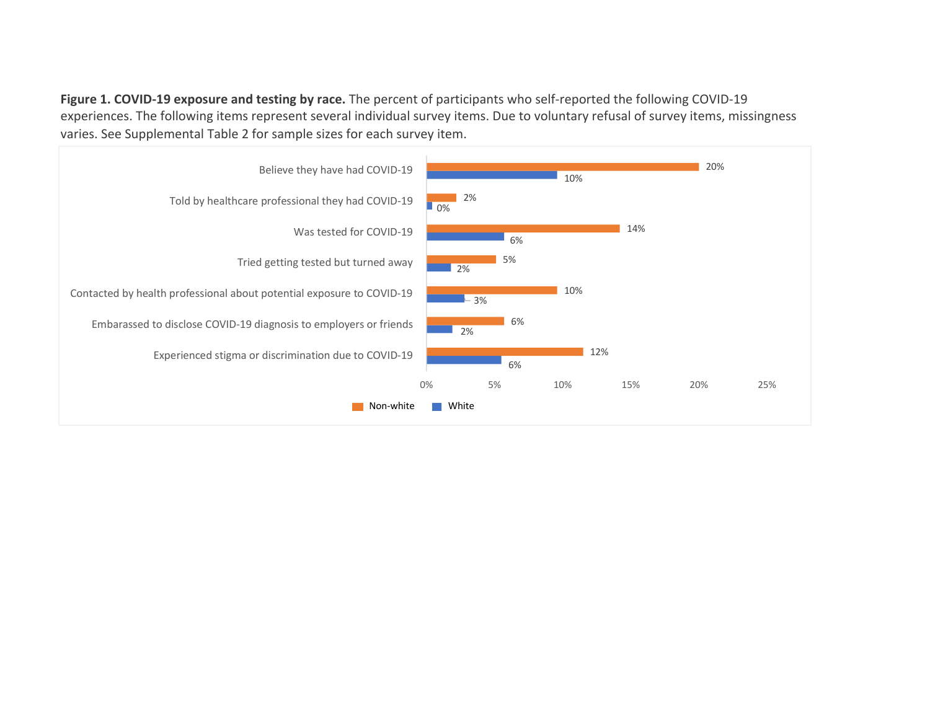**Figure 1. COVID-19 exposure and testing by race.** The percent of participants who self-reported the following COVID-19 experiences. The following items represent several individual survey items. Due to voluntary refusal of survey items, missingness varies. See Supplemental Table 2 for sample sizes for each survey item.

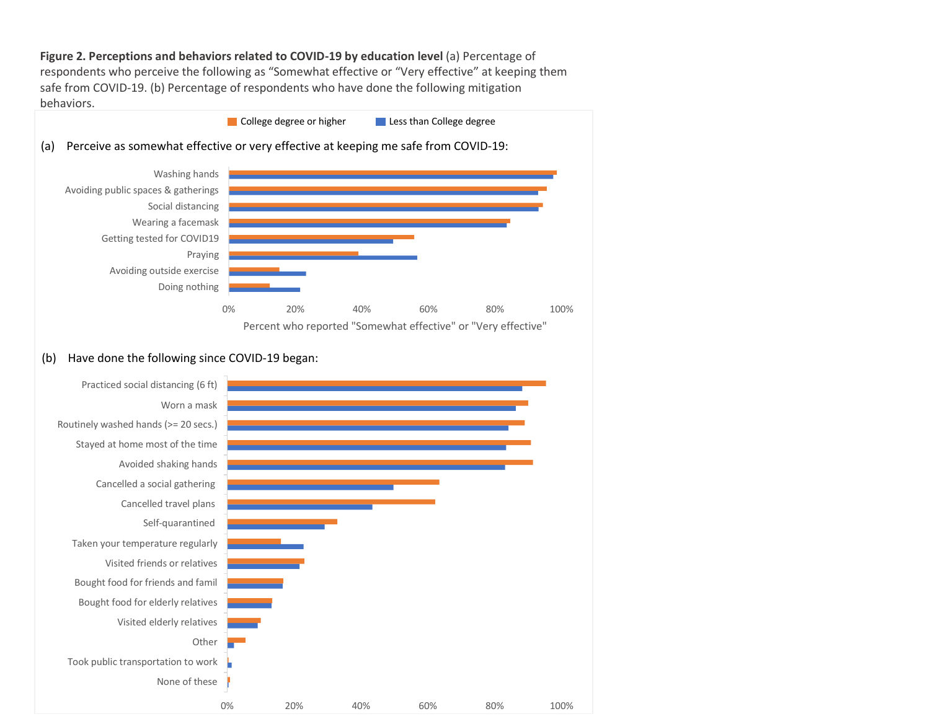Figure 2. Perceptions and behaviors related to COVID-19 by education level (a) Percentage of respondents who perceive the following as "Somewhat effective or "Very effective" at keeping them safe from COVID-19. (b) Percentage of respondents who have done the following mitigation behaviors.

**College degree or higher** Less than College degree



# (b) Have done the following since COVID-19 began:

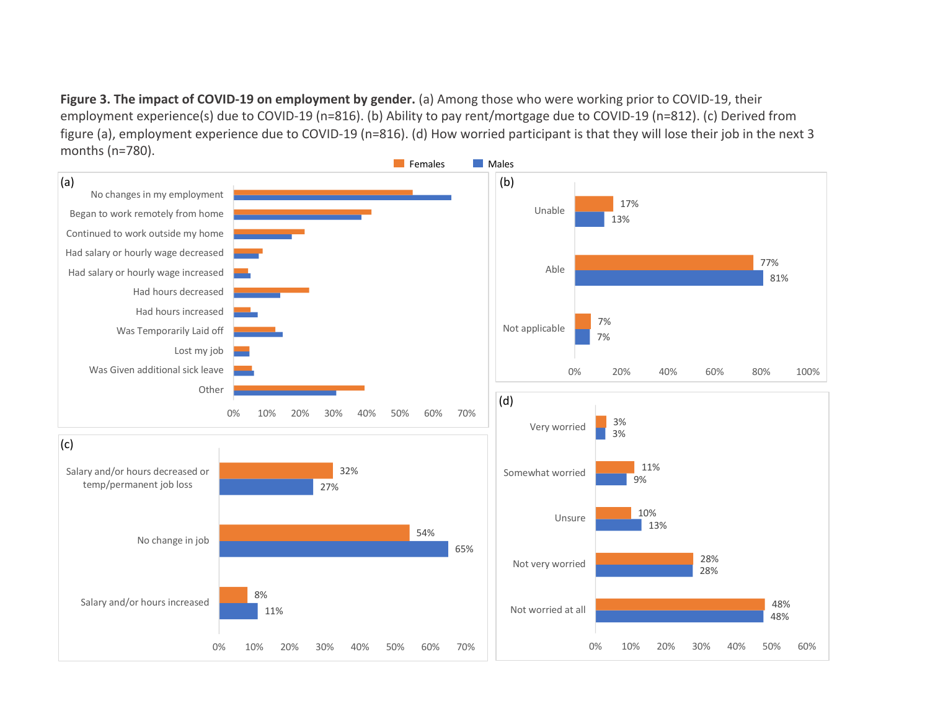**Figure 3. The impact of COVID-19 on employment by gender.** (a) Among those who were working prior to COVID-19, their employment experience(s) due to COVID-19 (n=816). (b) Ability to pay rent/mortgage due to COVID-19 (n=812). (c) Derived from figure (a), employment experience due to COVID-19 (n=816). (d) How worried participant is that they will lose their job in the next 3 months (n=780).

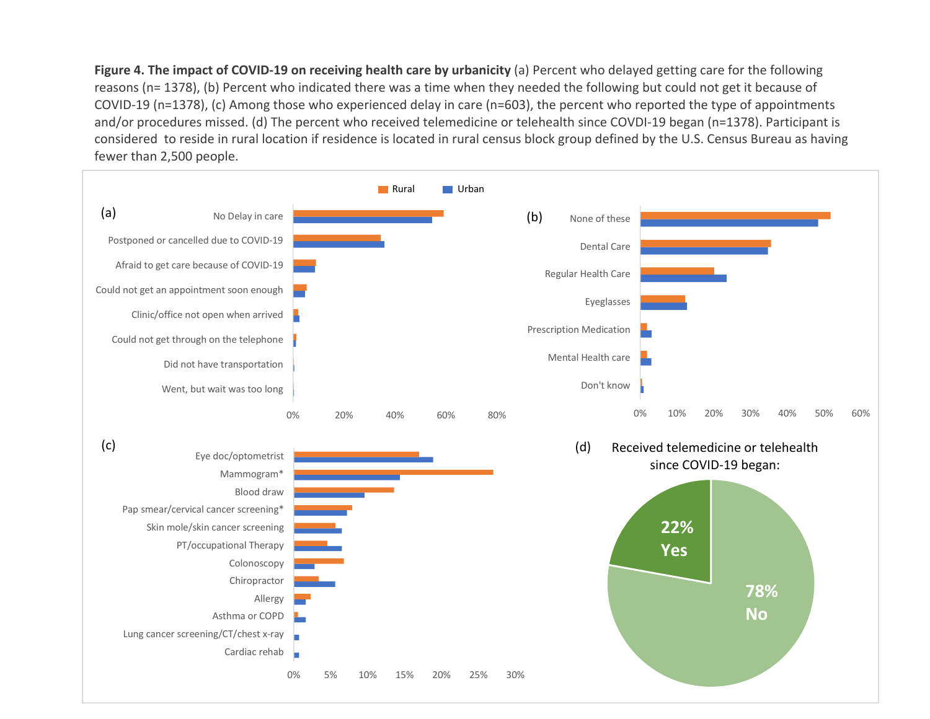**Figure 4. The impact of COVID-19 on receiving health care by urbanicity** (a) Percent who delayed getting care for the following reasons (n= 1378), (b) Percent who indicated there was a time when they needed the following but could not get it because of COVID-19 (n=1378), (c) Among those who experienced delay in care (n=603), the percent who reported the type of appointments and/or procedures missed. (d) The percent who received telemedicine or telehealth since COVDI-19 began (n=1378). Participant is considered to reside in rural location if residence is located in rural census block group defined by the U.S. Census Bureau as having fewer than 2,500 people.

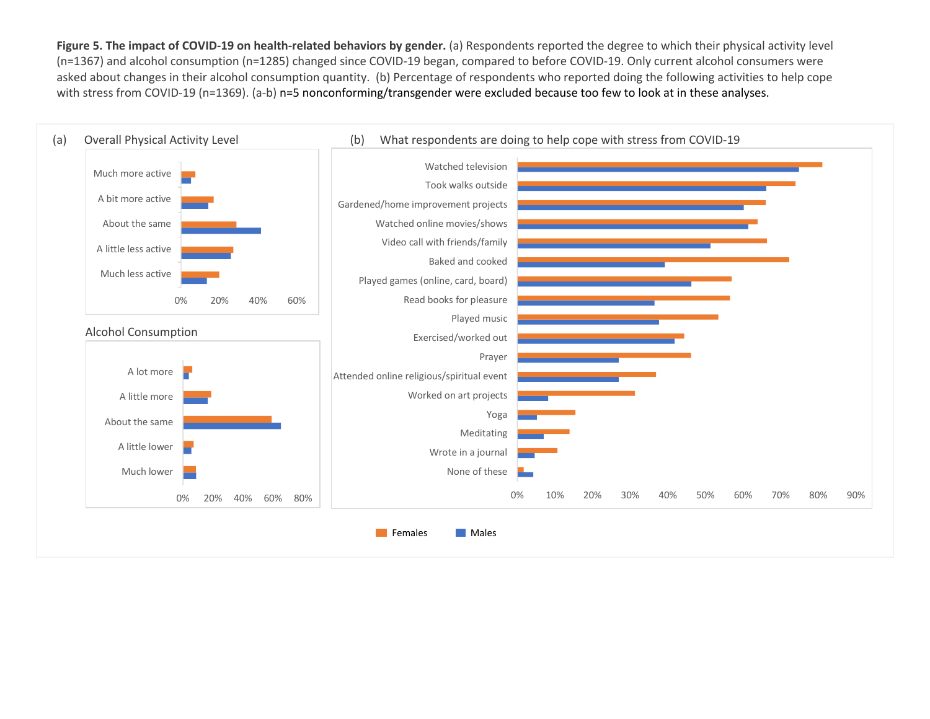**Figure 5. The impact of COVID-19 on health-related behaviors by gender.** (a) Respondents reported the degree to which their physical activity level (n=1367) and alcohol consumption (n=1285) changed since COVID-19 began, compared to before COVID-19. Only current alcohol consumers were asked about changes in their alcohol consumption quantity. (b) Percentage of respondents who reported doing the following activities to help cope with stress from COVID-19 (n=1369). (a-b) n=5 nonconforming/transgender were excluded because too few to look at in these analyses.